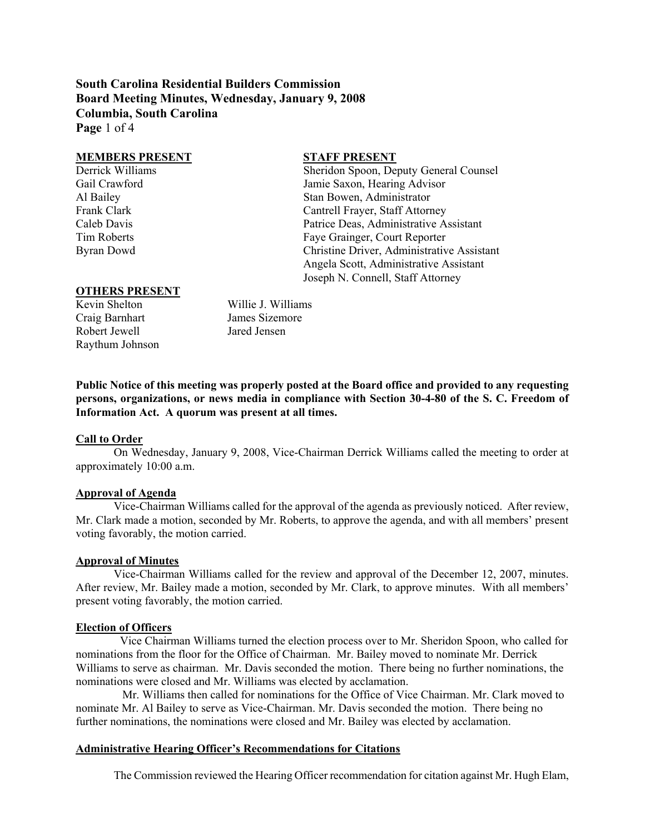**South Carolina Residential Builders Commission Board Meeting Minutes, Wednesday, January 9, 2008 Columbia, South Carolina Page** 1 of 4

#### **MEMBERS PRESENT STAFF PRESENT**

Derrick Williams Sheridon Spoon, Deputy General Counsel Gail Crawford Jamie Saxon, Hearing Advisor Al Bailey Stan Bowen, Administrator Frank Clark Clark Clark Clark Cantrell Frayer, Staff Attorney Caleb Davis Patrice Deas, Administrative Assistant Tim Roberts Faye Grainger, Court Reporter Byran Dowd Christine Driver, Administrative Assistant Angela Scott, Administrative Assistant Joseph N. Connell, Staff Attorney

## **OTHERS PRESENT**

Craig Barnhart James Sizemore Robert Jewell Jared Jensen Raythum Johnson

Kevin Shelton Willie J. Williams

**Public Notice of this meeting was properly posted at the Board office and provided to any requesting persons, organizations, or news media in compliance with Section 30-4-80 of the S. C. Freedom of Information Act. A quorum was present at all times.** 

## **Call to Order**

On Wednesday, January 9, 2008, Vice-Chairman Derrick Williams called the meeting to order at approximately 10:00 a.m.

## **Approval of Agenda**

Vice-Chairman Williams called for the approval of the agenda as previously noticed. After review, Mr. Clark made a motion, seconded by Mr. Roberts, to approve the agenda, and with all members' present voting favorably, the motion carried.

## **Approval of Minutes**

Vice-Chairman Williams called for the review and approval of the December 12, 2007, minutes. After review, Mr. Bailey made a motion, seconded by Mr. Clark, to approve minutes. With all members' present voting favorably, the motion carried.

#### **Election of Officers**

 Vice Chairman Williams turned the election process over to Mr. Sheridon Spoon, who called for nominations from the floor for the Office of Chairman. Mr. Bailey moved to nominate Mr. Derrick Williams to serve as chairman. Mr. Davis seconded the motion. There being no further nominations, the nominations were closed and Mr. Williams was elected by acclamation.

 Mr. Williams then called for nominations for the Office of Vice Chairman. Mr. Clark moved to nominate Mr. Al Bailey to serve as Vice-Chairman. Mr. Davis seconded the motion. There being no further nominations, the nominations were closed and Mr. Bailey was elected by acclamation.

# **Administrative Hearing Officer's Recommendations for Citations**

The Commission reviewed the Hearing Officer recommendation for citation against Mr. Hugh Elam,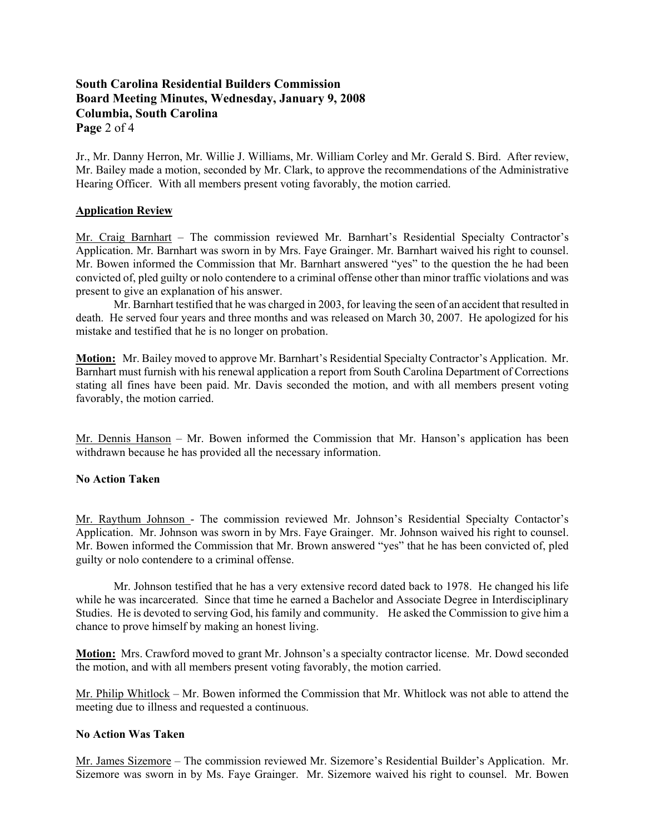# **South Carolina Residential Builders Commission Board Meeting Minutes, Wednesday, January 9, 2008 Columbia, South Carolina Page** 2 of 4

Jr., Mr. Danny Herron, Mr. Willie J. Williams, Mr. William Corley and Mr. Gerald S. Bird. After review, Mr. Bailey made a motion, seconded by Mr. Clark, to approve the recommendations of the Administrative Hearing Officer. With all members present voting favorably, the motion carried.

# **Application Review**

Mr. Craig Barnhart – The commission reviewed Mr. Barnhart's Residential Specialty Contractor's Application. Mr. Barnhart was sworn in by Mrs. Faye Grainger. Mr. Barnhart waived his right to counsel. Mr. Bowen informed the Commission that Mr. Barnhart answered "yes" to the question the he had been convicted of, pled guilty or nolo contendere to a criminal offense other than minor traffic violations and was present to give an explanation of his answer.

Mr. Barnhart testified that he was charged in 2003, for leaving the seen of an accident that resulted in death. He served four years and three months and was released on March 30, 2007. He apologized for his mistake and testified that he is no longer on probation.

**Motion:** Mr. Bailey moved to approve Mr. Barnhart's Residential Specialty Contractor's Application. Mr. Barnhart must furnish with his renewal application a report from South Carolina Department of Corrections stating all fines have been paid. Mr. Davis seconded the motion, and with all members present voting favorably, the motion carried.

Mr. Dennis Hanson – Mr. Bowen informed the Commission that Mr. Hanson's application has been withdrawn because he has provided all the necessary information.

## **No Action Taken**

Mr. Raythum Johnson - The commission reviewed Mr. Johnson's Residential Specialty Contactor's Application. Mr. Johnson was sworn in by Mrs. Faye Grainger. Mr. Johnson waived his right to counsel. Mr. Bowen informed the Commission that Mr. Brown answered "yes" that he has been convicted of, pled guilty or nolo contendere to a criminal offense.

Mr. Johnson testified that he has a very extensive record dated back to 1978. He changed his life while he was incarcerated. Since that time he earned a Bachelor and Associate Degree in Interdisciplinary Studies. He is devoted to serving God, his family and community. He asked the Commission to give him a chance to prove himself by making an honest living.

**Motion:** Mrs. Crawford moved to grant Mr. Johnson's a specialty contractor license. Mr. Dowd seconded the motion, and with all members present voting favorably, the motion carried.

Mr. Philip Whitlock – Mr. Bowen informed the Commission that Mr. Whitlock was not able to attend the meeting due to illness and requested a continuous.

## **No Action Was Taken**

Mr. James Sizemore – The commission reviewed Mr. Sizemore's Residential Builder's Application. Mr. Sizemore was sworn in by Ms. Faye Grainger. Mr. Sizemore waived his right to counsel. Mr. Bowen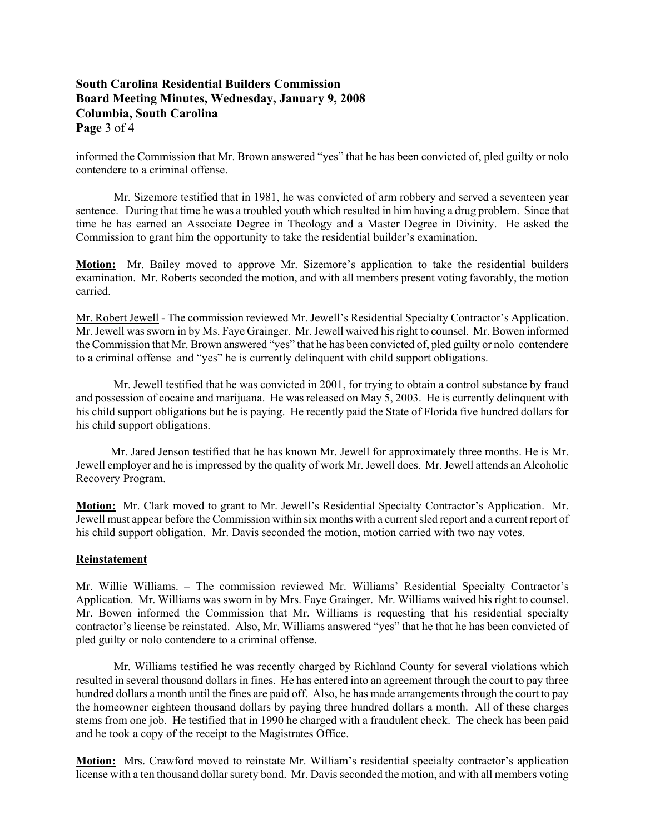# **South Carolina Residential Builders Commission Board Meeting Minutes, Wednesday, January 9, 2008 Columbia, South Carolina Page** 3 of 4

informed the Commission that Mr. Brown answered "yes" that he has been convicted of, pled guilty or nolo contendere to a criminal offense.

Mr. Sizemore testified that in 1981, he was convicted of arm robbery and served a seventeen year sentence. During that time he was a troubled youth which resulted in him having a drug problem. Since that time he has earned an Associate Degree in Theology and a Master Degree in Divinity. He asked the Commission to grant him the opportunity to take the residential builder's examination.

**Motion:** Mr. Bailey moved to approve Mr. Sizemore's application to take the residential builders examination. Mr. Roberts seconded the motion, and with all members present voting favorably, the motion carried.

Mr. Robert Jewell - The commission reviewed Mr. Jewell's Residential Specialty Contractor's Application. Mr. Jewell was sworn in by Ms. Faye Grainger. Mr. Jewell waived his right to counsel. Mr. Bowen informed the Commission that Mr. Brown answered "yes" that he has been convicted of, pled guilty or nolo contendere to a criminal offense and "yes" he is currently delinquent with child support obligations.

 Mr. Jewell testified that he was convicted in 2001, for trying to obtain a control substance by fraud and possession of cocaine and marijuana. He was released on May 5, 2003. He is currently delinquent with his child support obligations but he is paying. He recently paid the State of Florida five hundred dollars for his child support obligations.

 Mr. Jared Jenson testified that he has known Mr. Jewell for approximately three months. He is Mr. Jewell employer and he is impressed by the quality of work Mr. Jewell does. Mr. Jewell attends an Alcoholic Recovery Program.

**Motion:** Mr. Clark moved to grant to Mr. Jewell's Residential Specialty Contractor's Application. Mr. Jewell must appear before the Commission within six months with a current sled report and a current report of his child support obligation. Mr. Davis seconded the motion, motion carried with two nay votes.

# **Reinstatement**

Mr. Willie Williams. – The commission reviewed Mr. Williams' Residential Specialty Contractor's Application. Mr. Williams was sworn in by Mrs. Faye Grainger. Mr. Williams waived his right to counsel. Mr. Bowen informed the Commission that Mr. Williams is requesting that his residential specialty contractor's license be reinstated. Also, Mr. Williams answered "yes" that he that he has been convicted of pled guilty or nolo contendere to a criminal offense.

Mr. Williams testified he was recently charged by Richland County for several violations which resulted in several thousand dollars in fines. He has entered into an agreement through the court to pay three hundred dollars a month until the fines are paid off. Also, he has made arrangements through the court to pay the homeowner eighteen thousand dollars by paying three hundred dollars a month. All of these charges stems from one job. He testified that in 1990 he charged with a fraudulent check. The check has been paid and he took a copy of the receipt to the Magistrates Office.

**Motion:** Mrs. Crawford moved to reinstate Mr. William's residential specialty contractor's application license with a ten thousand dollar surety bond. Mr. Davis seconded the motion, and with all members voting